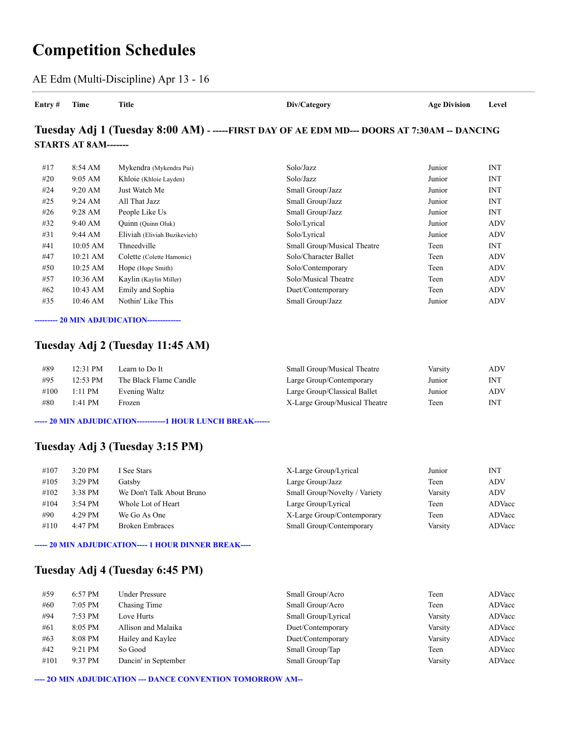# **Competition Schedules**

AE Edm (Multi-Discipline) Apr 13 - 16

**Entry # Time Title Div/Category Age Division Level**

## **Tuesday Adj 1 (Tuesday 8:00 AM) - -----FIRST DAY OF AE EDM MD--- DOORS AT 7:30AM -- DANCING STARTS AT 8AM-------**

| #17 | 8:54 AM           | Mykendra (Mykendra Pui)      | Solo/Jazz                   | Junior | <b>INT</b> |
|-----|-------------------|------------------------------|-----------------------------|--------|------------|
| #20 | $9:05 \text{ AM}$ | Khloie (Khloie Layden)       | Solo/Jazz                   | Junior | <b>INT</b> |
| #24 | $9:20$ AM         | Just Watch Me                | Small Group/Jazz            | Junior | <b>INT</b> |
| #25 | $9:24 \text{ AM}$ | All That Jazz                | Small Group/Jazz            | Junior | <b>INT</b> |
| #26 | $9:28 \text{ AM}$ | People Like Us               | Small Group/Jazz            | Junior | <b>INT</b> |
| #32 | 9:40 AM           | Quinn (Quinn Oluk)           | Solo/Lyrical                | Junior | ADV        |
| #31 | 9:44 AM           | Eliviah (Eliviah Buzikevich) | Solo/Lyrical                | Junior | <b>ADV</b> |
| #41 | $10:05$ AM        | Thneedville                  | Small Group/Musical Theatre | Teen   | <b>INT</b> |
| #47 | 10:21 AM          | Colette (Colette Hamonic)    | Solo/Character Ballet       | Teen   | ADV        |
| #50 | 10:25 AM          | Hope (Hope Smith)            | Solo/Contemporary           | Teen   | ADV        |
| #57 | 10:36 AM          | Kaylin (Kaylin Miller)       | Solo/Musical Theatre        | Teen   | ADV        |
| #62 | 10:43 AM          | Emily and Sophia             | Duet/Contemporary           | Teen   | ADV        |
| #35 | 10:46 AM          | Nothin' Like This            | Small Group/Jazz            | Junior | ADV        |
|     |                   |                              |                             |        |            |

**--------- 20 MIN ADJUDICATION-------------**

## **Tuesday Adj 2 (Tuesday 11:45 AM)**

| #89  | 12:31 PM  | Learn to Do It         | Small Group/Musical Theatre   | Varsity | ADV        |
|------|-----------|------------------------|-------------------------------|---------|------------|
| #95  | 12:53 PM  | The Black Flame Candle | Large Group/Contemporary      | Junior  | <b>INT</b> |
| #100 | $1:11$ PM | Evening Waltz          | Large Group/Classical Ballet  | Junior  | ADV        |
| #80  | 1:41 PM   | Frozen                 | X-Large Group/Musical Theatre | Teen    | <b>INT</b> |

**----- 20 MIN ADJUDICATION-----------1 HOUR LUNCH BREAK------**

## **Tuesday Adj 3 (Tuesday 3:15 PM)**

| #107 | $3:20$ PM         | I See Stars               | X-Large Group/Lyrical         | Junior  | INT        |
|------|-------------------|---------------------------|-------------------------------|---------|------------|
| #105 | $3:29$ PM         | Gatsbv                    | Large Group/Jazz              | Teen    | <b>ADV</b> |
| #102 | $3:38$ PM         | We Don't Talk About Bruno | Small Group/Novelty / Variety | Varsity | <b>ADV</b> |
| #104 | $3:54 \text{ PM}$ | Whole Lot of Heart        | Large Group/Lyrical           | Teen    | ADVacc     |
| #90  | $4:29$ PM         | We Go As One              | X-Large Group/Contemporary    | Teen    | ADVacc     |
| #110 | 4:47 PM           | <b>Broken Embraces</b>    | Small Group/Contemporary      | Varsity | ADVacc     |
|      |                   |                           |                               |         |            |

**----- 20 MIN ADJUDICATION---- 1 HOUR DINNER BREAK----**

### **Tuesday Adj 4 (Tuesday 6:45 PM)**

| #59  | 6:57 PM   | Under Pressure       | Small Group/Acro    | Teen    | ADVacc |
|------|-----------|----------------------|---------------------|---------|--------|
| #60  | $7:05$ PM | Chasing Time         | Small Group/Acro    | Teen    | ADVacc |
| #94  | 7:53 PM   | Love Hurts           | Small Group/Lyrical | Varsity | ADVacc |
| #61  | 8:05 PM   | Allison and Malaika  | Duet/Contemporary   | Varsity | ADVacc |
| #63  | 8:08 PM   | Hailey and Kaylee    | Duet/Contemporary   | Varsity | ADVacc |
| #42  | 9:21 PM   | So Good              | Small Group/Tap     | Teen    | ADVacc |
| #101 | 9:37 PM   | Dancin' in September | Small Group/Tap     | Varsity | ADVacc |

**---- 2O MIN ADJUDICATION --- DANCE CONVENTION TOMORROW AM--**